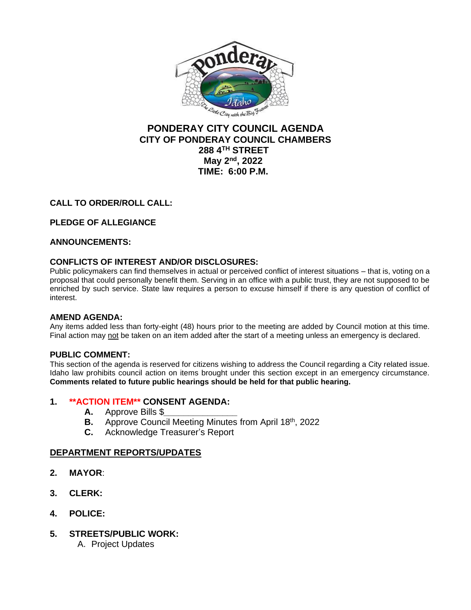

# **PONDERAY CITY COUNCIL AGENDA CITY OF PONDERAY COUNCIL CHAMBERS 288 4TH STREET May 2nd, 2022 TIME: 6:00 P.M.**

## **CALL TO ORDER/ROLL CALL:**

## **PLEDGE OF ALLEGIANCE**

## **ANNOUNCEMENTS:**

## **CONFLICTS OF INTEREST AND/OR DISCLOSURES:**

Public policymakers can find themselves in actual or perceived conflict of interest situations – that is, voting on a proposal that could personally benefit them. Serving in an office with a public trust, they are not supposed to be enriched by such service. State law requires a person to excuse himself if there is any question of conflict of interest.

## **AMEND AGENDA:**

Any items added less than forty-eight (48) hours prior to the meeting are added by Council motion at this time. Final action may not be taken on an item added after the start of a meeting unless an emergency is declared.

## **PUBLIC COMMENT:**

This section of the agenda is reserved for citizens wishing to address the Council regarding a City related issue. Idaho law prohibits council action on items brought under this section except in an emergency circumstance. **Comments related to future public hearings should be held for that public hearing.**

## **1. \*\*ACTION ITEM\*\* CONSENT AGENDA:**

- **A.** Approve Bills \$*\_\_\_\_\_\_\_\_\_\_\_\_\_\_\_*
- **B.** Approve Council Meeting Minutes from April 18th, 2022
- **C.** Acknowledge Treasurer's Report

## **DEPARTMENT REPORTS/UPDATES**

- **2. MAYOR**:
- **3. CLERK:**
- **4. POLICE:**
- **5. STREETS/PUBLIC WORK:**
	- A. Project Updates